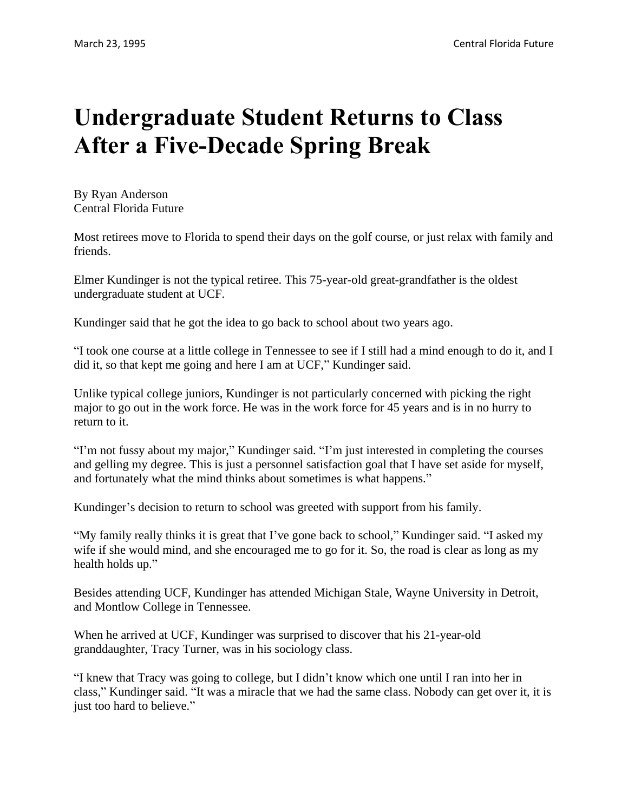## **Undergraduate Student Returns to Class After a Five-Decade Spring Break**

By Ryan Anderson Central Florida Future

Most retirees move to Florida to spend their days on the golf course, or just relax with family and friends.

Elmer Kundinger is not the typical retiree. This 75-year-old great-grandfather is the oldest undergraduate student at UCF.

Kundinger said that he got the idea to go back to school about two years ago.

"I took one course at a little college in Tennessee to see if I still had a mind enough to do it, and I did it, so that kept me going and here I am at UCF," Kundinger said.

Unlike typical college juniors, Kundinger is not particularly concerned with picking the right major to go out in the work force. He was in the work force for 45 years and is in no hurry to return to it.

"I'm not fussy about my major," Kundinger said. "I'm just interested in completing the courses and gelling my degree. This is just a personnel satisfaction goal that I have set aside for myself, and fortunately what the mind thinks about sometimes is what happens."

Kundinger's decision to return to school was greeted with support from his family.

"My family really thinks it is great that I've gone back to school," Kundinger said. "I asked my wife if she would mind, and she encouraged me to go for it. So, the road is clear as long as my health holds up."

Besides attending UCF, Kundinger has attended Michigan Stale, Wayne University in Detroit, and Montlow College in Tennessee.

When he arrived at UCF, Kundinger was surprised to discover that his 21-year-old granddaughter, Tracy Turner, was in his sociology class.

"I knew that Tracy was going to college, but I didn't know which one until I ran into her in class," Kundinger said. "It was a miracle that we had the same class. Nobody can get over it, it is just too hard to believe."